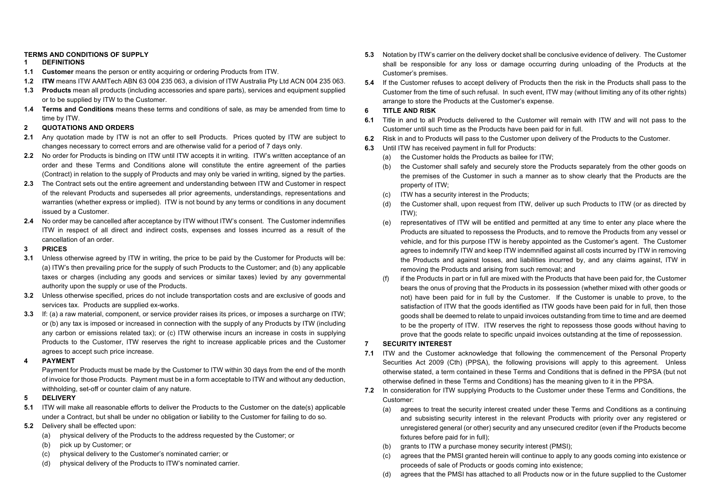# **TERMS AND CONDITIONS OF SUPPLY**

#### **1 DEFINITIONS**

- **1.1 Customer** means the person or entity acquiring or ordering Products from ITW.
- **1.2 ITW** means ITW AAMTech ABN 63 004 235 063, a division of ITW Australia Pty Ltd ACN 004 235 063.
- **1.3 Products** mean all products (including accessories and spare parts), services and equipment supplied or to be supplied by ITW to the Customer.
- **1.4 Terms and Conditions** means these terms and conditions of sale, as may be amended from time to time by ITW.
- **2 QUOTATIONS AND ORDERS**
- 2.1 Any quotation made by ITW is not an offer to sell Products. Prices quoted by ITW are subject to changes necessary to correct errors and are otherwise valid for a period of 7 days only.
- **2.2** No order for Products is binding on ITW until ITW accepts it in writing. ITW's written acceptance of an order and these Terms and Conditions alone will constitute the entire agreement of the parties (Contract) in relation to the supply of Products and may only be varied in writing, signed by the parties.
- **2.3** The Contract sets out the entire agreement and understanding between ITW and Customer in respect of the relevant Products and supersedes all prior agreements, understandings, representations and warranties (whether express or implied). ITW is not bound by any terms or conditions in any document issued by a Customer.
- **2.4** No order may be cancelled after acceptance by ITW without ITW's consent. The Customer indemnifies ITW in respect of all direct and indirect costs, expenses and losses incurred as a result of the cancellation of an order.

## **3 PRICES**

- **3.1** Unless otherwise agreed by ITW in writing, the price to be paid by the Customer for Products will be: (a) ITW's then prevailing price for the supply of such Products to the Customer; and (b) any applicable taxes or charges (including any goods and services or similar taxes) levied by any governmental authority upon the supply or use of the Products.
- **3.2** Unless otherwise specified, prices do not include transportation costs and are exclusive of goods and services tax. Products are supplied ex-works.
- **3.3** If: (a) a raw material, component, or service provider raises its prices, or imposes a surcharge on ITW; or (b) any tax is imposed or increased in connection with the supply of any Products by ITW (including any carbon or emissions related tax); or (c) ITW otherwise incurs an increase in costs in supplying Products to the Customer, ITW reserves the right to increase applicable prices and the Customer agrees to accept such price increase.
- **4 PAYMENT**

Payment for Products must be made by the Customer to ITW within 30 days from the end of the month of invoice for those Products. Payment must be in a form acceptable to ITW and without any deduction, withholding, set-off or counter claim of any nature.

## **5 DELIVERY**

- **5.1** ITW will make all reasonable efforts to deliver the Products to the Customer on the date(s) applicable under a Contract, but shall be under no obligation or liability to the Customer for failing to do so.
- **5.2** Delivery shall be effected upon:
	- (a) physical delivery of the Products to the address requested by the Customer; or
	- (b) pick up by Customer; or
	- (c) physical delivery to the Customer's nominated carrier; or
	- (d) physical delivery of the Products to ITW's nominated carrier.
- **5.3** Notation by ITW's carrier on the delivery docket shall be conclusive evidence of delivery. The Customer shall be responsible for any loss or damage occurring during unloading of the Products at the Customer's premises.
- **5.4** If the Customer refuses to accept delivery of Products then the risk in the Products shall pass to the Customer from the time of such refusal. In such event, ITW may (without limiting any of its other rights) arrange to store the Products at the Customer's expense.

## **6 TITLE AND RISK**

- **6.1** Title in and to all Products delivered to the Customer will remain with ITW and will not pass to the Customer until such time as the Products have been paid for in full.
- **6.2** Risk in and to Products will pass to the Customer upon delivery of the Products to the Customer.
- **6.3** Until ITW has received payment in full for Products:
	- (a) the Customer holds the Products as bailee for ITW;
	- (b) the Customer shall safely and securely store the Products separately from the other goods on the premises of the Customer in such a manner as to show clearly that the Products are the property of ITW;
	- (c) ITW has a security interest in the Products;
	- (d) the Customer shall, upon request from ITW, deliver up such Products to ITW (or as directed by ITW);
	- (e) representatives of ITW will be entitled and permitted at any time to enter any place where the Products are situated to repossess the Products, and to remove the Products from any vessel or vehicle, and for this purpose ITW is hereby appointed as the Customer's agent. The Customer agrees to indemnify ITW and keep ITW indemnified against all costs incurred by ITW in removing the Products and against losses, and liabilities incurred by, and any claims against, ITW in removing the Products and arising from such removal; and
	- (f) if the Products in part or in full are mixed with the Products that have been paid for, the Customer bears the onus of proving that the Products in its possession (whether mixed with other goods or not) have been paid for in full by the Customer. If the Customer is unable to prove, to the satisfaction of ITW that the goods identified as ITW goods have been paid for in full, then those goods shall be deemed to relate to unpaid invoices outstanding from time to time and are deemed to be the property of ITW. ITW reserves the right to repossess those goods without having to prove that the goods relate to specific unpaid invoices outstanding at the time of repossession.

## **7 SECURITY INTEREST**

- **7.1** ITW and the Customer acknowledge that following the commencement of the Personal Property Securities Act 2009 (Cth) (PPSA), the following provisions will apply to this agreement. Unless otherwise stated, a term contained in these Terms and Conditions that is defined in the PPSA (but not otherwise defined in these Terms and Conditions) has the meaning given to it in the PPSA.
- **7.2** In consideration for ITW supplying Products to the Customer under these Terms and Conditions, the Customer:
	- (a) agrees to treat the security interest created under these Terms and Conditions as a continuing and subsisting security interest in the relevant Products with priority over any registered or unregistered general (or other) security and any unsecured creditor (even if the Products become fixtures before paid for in full);
	- (b) grants to ITW a purchase money security interest (PMSI);
	- (c) agrees that the PMSI granted herein will continue to apply to any goods coming into existence or proceeds of sale of Products or goods coming into existence;
	- (d) agrees that the PMSI has attached to all Products now or in the future supplied to the Customer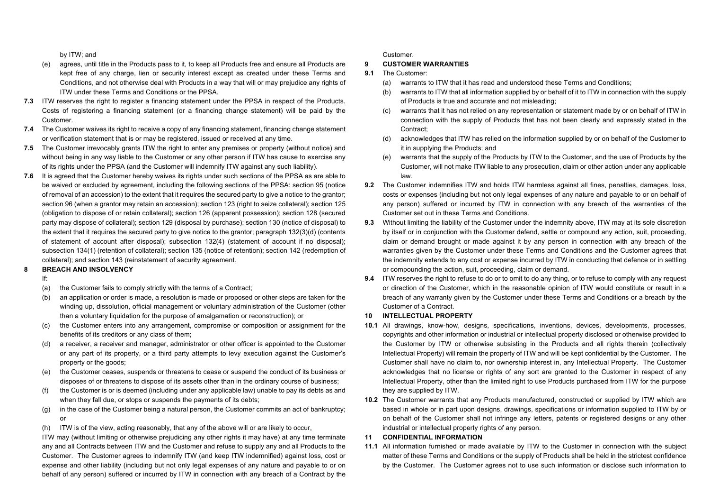by ITW; and

- (e) agrees, until title in the Products pass to it, to keep all Products free and ensure all Products are kept free of any charge, lien or security interest except as created under these Terms and Conditions, and not otherwise deal with Products in a way that will or may prejudice any rights of ITW under these Terms and Conditions or the PPSA.
- **7.3** ITW reserves the right to register a financing statement under the PPSA in respect of the Products. Costs of registering a financing statement (or a financing change statement) will be paid by the Customer.
- **7.4** The Customer waives its right to receive a copy of any financing statement, financing change statement or verification statement that is or may be registered, issued or received at any time.
- **7.5** The Customer irrevocably grants ITW the right to enter any premises or property (without notice) and without being in any way liable to the Customer or any other person if ITW has cause to exercise any of its rights under the PPSA (and the Customer will indemnify ITW against any such liability).
- **7.6** It is agreed that the Customer hereby waives its rights under such sections of the PPSA as are able to be waived or excluded by agreement, including the following sections of the PPSA: section 95 (notice of removal of an accession) to the extent that it requires the secured party to give a notice to the grantor; section 96 (when a grantor may retain an accession); section 123 (right to seize collateral); section 125 (obligation to dispose of or retain collateral); section 126 (apparent possession); section 128 (secured party may dispose of collateral); section 129 (disposal by purchase); section 130 (notice of disposal) to the extent that it requires the secured party to give notice to the grantor; paragraph 132(3)(d) (contents of statement of account after disposal); subsection 132(4) (statement of account if no disposal); subsection 134(1) (retention of collateral); section 135 (notice of retention); section 142 (redemption of collateral); and section 143 (reinstatement of security agreement.

#### **8 BREACH AND INSOLVENCY**

If:

- (a) the Customer fails to comply strictly with the terms of a Contract;
- (b) an application or order is made, a resolution is made or proposed or other steps are taken for the winding up, dissolution, official management or voluntary administration of the Customer (other than a voluntary liquidation for the purpose of amalgamation or reconstruction); or
- (c) the Customer enters into any arrangement, compromise or composition or assignment for the benefits of its creditors or any class of them;
- (d) a receiver, a receiver and manager, administrator or other officer is appointed to the Customer or any part of its property, or a third party attempts to levy execution against the Customer's property or the goods;
- (e) the Customer ceases, suspends or threatens to cease or suspend the conduct of its business or disposes of or threatens to dispose of its assets other than in the ordinary course of business;
- (f) the Customer is or is deemed (including under any applicable law) unable to pay its debts as and when they fall due, or stops or suspends the payments of its debts;
- (g) in the case of the Customer being a natural person, the Customer commits an act of bankruptcy; or
- (h) ITW is of the view, acting reasonably, that any of the above will or are likely to occur,

ITW may (without limiting or otherwise prejudicing any other rights it may have) at any time terminate any and all Contracts between ITW and the Customer and refuse to supply any and all Products to the Customer. The Customer agrees to indemnify ITW (and keep ITW indemnified) against loss, cost or expense and other liability (including but not only legal expenses of any nature and payable to or on behalf of any person) suffered or incurred by ITW in connection with any breach of a Contract by the

Customer.

#### **9 CUSTOMER WARRANTIES**

- **9.1** The Customer:
	- (a) warrants to ITW that it has read and understood these Terms and Conditions;
	- (b) warrants to ITW that all information supplied by or behalf of it to ITW in connection with the supply of Products is true and accurate and not misleading;
	- (c) warrants that it has not relied on any representation or statement made by or on behalf of ITW in connection with the supply of Products that has not been clearly and expressly stated in the Contract;
	- (d) acknowledges that ITW has relied on the information supplied by or on behalf of the Customer to it in supplying the Products; and
	- (e) warrants that the supply of the Products by ITW to the Customer, and the use of Products by the Customer, will not make ITW liable to any prosecution, claim or other action under any applicable law.
- **9.2** The Customer indemnifies ITW and holds ITW harmless against all fines, penalties, damages, loss, costs or expenses (including but not only legal expenses of any nature and payable to or on behalf of any person) suffered or incurred by ITW in connection with any breach of the warranties of the Customer set out in these Terms and Conditions.
- **9.3** Without limiting the liability of the Customer under the indemnity above, ITW may at its sole discretion by itself or in conjunction with the Customer defend, settle or compound any action, suit, proceeding, claim or demand brought or made against it by any person in connection with any breach of the warranties given by the Customer under these Terms and Conditions and the Customer agrees that the indemnity extends to any cost or expense incurred by ITW in conducting that defence or in settling or compounding the action, suit, proceeding, claim or demand.
- **9.4** ITW reserves the right to refuse to do or to omit to do any thing, or to refuse to comply with any request or direction of the Customer, which in the reasonable opinion of ITW would constitute or result in a breach of any warranty given by the Customer under these Terms and Conditions or a breach by the Customer of a Contract.

#### **10 INTELLECTUAL PROPERTY**

- **10.1** All drawings, know-how, designs, specifications, inventions, devices, developments, processes, copyrights and other information or industrial or intellectual property disclosed or otherwise provided to the Customer by ITW or otherwise subsisting in the Products and all rights therein (collectively Intellectual Property) will remain the property of ITW and will be kept confidential by the Customer. The Customer shall have no claim to, nor ownership interest in, any Intellectual Property. The Customer acknowledges that no license or rights of any sort are granted to the Customer in respect of any Intellectual Property, other than the limited right to use Products purchased from ITW for the purpose they are supplied by ITW.
- **10.2** The Customer warrants that any Products manufactured, constructed or supplied by ITW which are based in whole or in part upon designs, drawings, specifications or information supplied to ITW by or on behalf of the Customer shall not infringe any letters, patents or registered designs or any other industrial or intellectual property rights of any person.

## **11 CONFIDENTIAL INFORMATION**

**11.1** All information furnished or made available by ITW to the Customer in connection with the subject matter of these Terms and Conditions or the supply of Products shall be held in the strictest confidence by the Customer. The Customer agrees not to use such information or disclose such information to